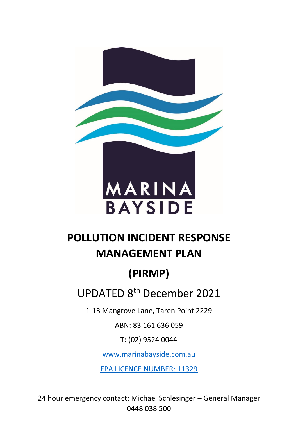

### **POLLUTION INCIDENT RESPONSE MANAGEMENT PLAN**

# **(PIRMP)**

UPDATED 8<sup>th</sup> December 2021

1-13 Mangrove Lane, Taren Point 2229

ABN: 83 161 636 059

T: (02) 9524 0044

[www.marinabayside.com.au](http://www.marinabayside.com.au/)

EPA LICENCE NUMBER: 11329

24 hour emergency contact: Michael Schlesinger – General Manager 0448 038 500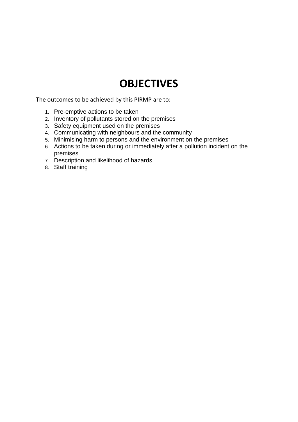#### **OBJECTIVES**

The outcomes to be achieved by this PIRMP are to:

- 1. Pre-emptive actions to be taken
- 2. Inventory of pollutants stored on the premises
- 3. Safety equipment used on the premises
- 4. Communicating with neighbours and the community
- 5. Minimising harm to persons and the environment on the premises
- 6. Actions to be taken during or immediately after a pollution incident on the premises
- 7. Description and likelihood of hazards
- 8. Staff training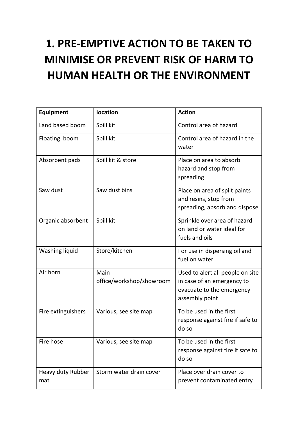# **1. PRE-EMPTIVE ACTION TO BE TAKEN TO MINIMISE OR PREVENT RISK OF HARM TO HUMAN HEALTH OR THE ENVIRONMENT**

| <b>Equipment</b>         | location                         | <b>Action</b>                                                                                                 |
|--------------------------|----------------------------------|---------------------------------------------------------------------------------------------------------------|
| Land based boom          | Spill kit                        | Control area of hazard                                                                                        |
| Floating boom            | Spill kit                        | Control area of hazard in the<br>water                                                                        |
| Absorbent pads           | Spill kit & store                | Place on area to absorb<br>hazard and stop from<br>spreading                                                  |
| Saw dust                 | Saw dust bins                    | Place on area of spilt paints<br>and resins, stop from<br>spreading, absorb and dispose                       |
| Organic absorbent        | Spill kit                        | Sprinkle over area of hazard<br>on land or water ideal for<br>fuels and oils                                  |
| Washing liquid           | Store/kitchen                    | For use in dispersing oil and<br>fuel on water                                                                |
| Air horn                 | Main<br>office/workshop/showroom | Used to alert all people on site<br>in case of an emergency to<br>evacuate to the emergency<br>assembly point |
| Fire extinguishers       | Various, see site map            | To be used in the first<br>response against fire if safe to<br>do so                                          |
| Fire hose                | Various, see site map            | To be used in the first<br>response against fire if safe to<br>do so                                          |
| Heavy duty Rubber<br>mat | Storm water drain cover          | Place over drain cover to<br>prevent contaminated entry                                                       |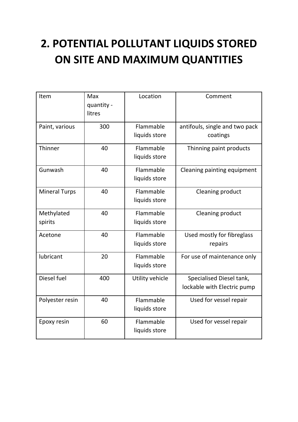## **2. POTENTIAL POLLUTANT LIQUIDS STORED ON SITE AND MAXIMUM QUANTITIES**

| Item                  | Max<br>quantity -<br>litres | Location                   | Comment                                                 |
|-----------------------|-----------------------------|----------------------------|---------------------------------------------------------|
| Paint, various        | 300                         | Flammable<br>liquids store | antifouls, single and two pack<br>coatings              |
| Thinner               | 40                          | Flammable<br>liquids store | Thinning paint products                                 |
| Gunwash               | 40                          | Flammable<br>liquids store | Cleaning painting equipment                             |
| <b>Mineral Turps</b>  | 40                          | Flammable<br>liquids store | Cleaning product                                        |
| Methylated<br>spirits | 40                          | Flammable<br>liquids store | Cleaning product                                        |
| Acetone               | 40                          | Flammable<br>liquids store | Used mostly for fibreglass<br>repairs                   |
| lubricant             | 20                          | Flammable<br>liquids store | For use of maintenance only                             |
| Diesel fuel           | 400                         | Utility vehicle            | Specialised Diesel tank,<br>lockable with Electric pump |
| Polyester resin       | 40                          | Flammable<br>liquids store | Used for vessel repair                                  |
| Epoxy resin           | 60                          | Flammable<br>liquids store | Used for vessel repair                                  |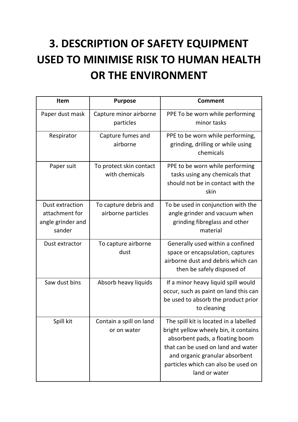# **3. DESCRIPTION OF SAFETY EQUIPMENT USED TO MINIMISE RISK TO HUMAN HEALTH OR THE ENVIRONMENT**

| <b>Item</b>                                                      | <b>Purpose</b>                              | <b>Comment</b>                                                                                                                                                                                                                                     |
|------------------------------------------------------------------|---------------------------------------------|----------------------------------------------------------------------------------------------------------------------------------------------------------------------------------------------------------------------------------------------------|
| Paper dust mask                                                  | Capture minor airborne<br>particles         | PPE To be worn while performing<br>minor tasks                                                                                                                                                                                                     |
| Respirator                                                       | Capture fumes and<br>airborne               | PPE to be worn while performing,<br>grinding, drilling or while using<br>chemicals                                                                                                                                                                 |
| Paper suit                                                       | To protect skin contact<br>with chemicals   | PPE to be worn while performing<br>tasks using any chemicals that<br>should not be in contact with the<br>skin                                                                                                                                     |
| Dust extraction<br>attachment for<br>angle grinder and<br>sander | To capture debris and<br>airborne particles | To be used in conjunction with the<br>angle grinder and vacuum when<br>grinding fibreglass and other<br>material                                                                                                                                   |
| Dust extractor                                                   | To capture airborne<br>dust                 | Generally used within a confined<br>space or encapsulation, captures<br>airborne dust and debris which can<br>then be safely disposed of                                                                                                           |
| Saw dust bins                                                    | Absorb heavy liquids                        | If a minor heavy liquid spill would<br>occur, such as paint on land this can<br>be used to absorb the product prior<br>to cleaning                                                                                                                 |
| Spill kit                                                        | Contain a spill on land<br>or on water      | The spill kit is located in a labelled<br>bright yellow wheely bin, it contains<br>absorbent pads, a floating boom<br>that can be used on land and water<br>and organic granular absorbent<br>particles which can also be used on<br>land or water |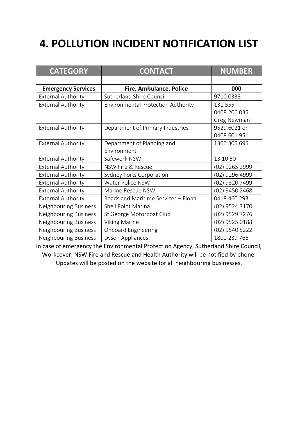#### **4. POLLUTION INCIDENT NOTIFICATION LIST**

| <b>CATEGORY</b>           | <b>CONTACT</b>                            | <b>NUMBER</b>  |
|---------------------------|-------------------------------------------|----------------|
|                           |                                           |                |
| <b>Emergency Services</b> | Fire, Ambulance, Police                   | 000            |
| <b>External Authority</b> | <b>Sutherland Shire Council</b>           | 9710 0333      |
| <b>External Authority</b> | <b>Environmental Protection Authority</b> | 131 555        |
|                           |                                           | 0408 206 035   |
|                           |                                           | Greg Newman    |
| <b>External Authority</b> | Department of Primary Industries          | 9529 6021 or   |
|                           |                                           | 0408 601 951   |
| <b>External Authority</b> | Department of Planning and                | 1300 305 695   |
|                           | Environment                               |                |
| <b>External Authority</b> | Safework NSW                              | 13 10 50       |
| <b>External Authority</b> | NSW Fire & Rescue                         | (02) 9265 2999 |
| <b>External Authority</b> | Sydney Ports Corporation                  | (02) 9296 4999 |
| <b>External Authority</b> | Water Police NSW                          | (02) 9320 7499 |
| <b>External Authority</b> | Marine Rescue NSW                         | (02) 9450 2468 |
| <b>External Authority</b> | Roads and Maritime Services - Fiona       | 0418 460 293   |
| Neighbouring Business     | Shell Point Marina                        | (02) 9524 7170 |
| Neighbouring Business     | St George Motorboat Club                  | (02) 9529 7276 |
| Neighbouring Business     | <b>Viking Marine</b>                      | (02) 9525 0188 |
| Neighbouring Business     | <b>Onboard Engineering</b>                | (02) 9540 5222 |
| Neighbouring Business     | Dyson Appliances                          | 1800 239 766   |

In case of emergency the Environmental Protection Agency, Sutherland Shire Council, Workcover, NSW Fire and Rescue and Health Authority will be notified by phone. Updates will be posted on the website for all neighbouring businesses.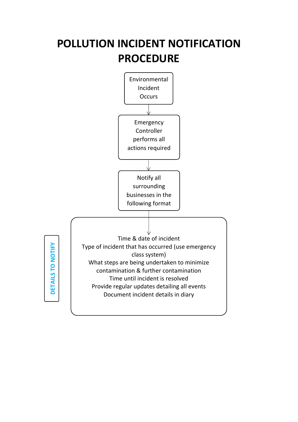### **POLLUTION INCIDENT NOTIFICATION PROCEDURE**

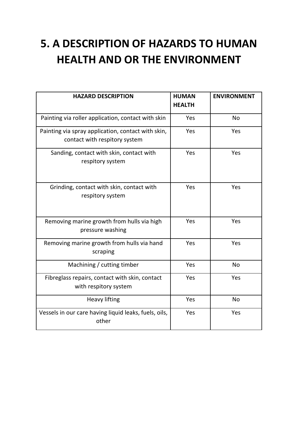### **5. A DESCRIPTION OF HAZARDS TO HUMAN HEALTH AND OR THE ENVIRONMENT**

| <b>HAZARD DESCRIPTION</b>                                                           | <b>HUMAN</b><br><b>HEALTH</b> | <b>ENVIRONMENT</b> |
|-------------------------------------------------------------------------------------|-------------------------------|--------------------|
| Painting via roller application, contact with skin                                  | Yes                           | No                 |
| Painting via spray application, contact with skin,<br>contact with respitory system | Yes                           | Yes                |
| Sanding, contact with skin, contact with<br>respitory system                        | Yes                           | Yes                |
| Grinding, contact with skin, contact with<br>respitory system                       | Yes                           | Yes                |
| Removing marine growth from hulls via high<br>pressure washing                      | Yes                           | Yes                |
| Removing marine growth from hulls via hand<br>scraping                              | Yes                           | Yes                |
| Machining / cutting timber                                                          | Yes                           | No                 |
| Fibreglass repairs, contact with skin, contact<br>with respitory system             | Yes                           | Yes                |
| <b>Heavy lifting</b>                                                                | Yes                           | No                 |
| Vessels in our care having liquid leaks, fuels, oils,<br>other                      | Yes                           | Yes                |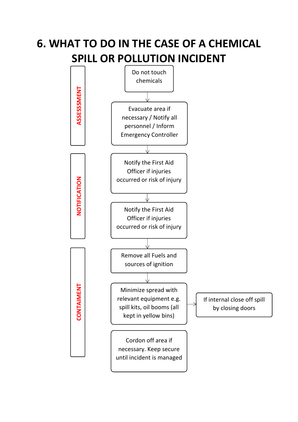### **6. WHAT TO DO IN THE CASE OF A CHEMICAL SPILL OR POLLUTION INCIDENT**

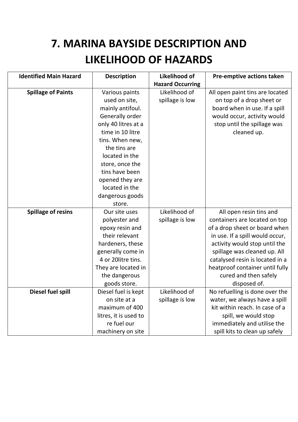## **7. MARINA BAYSIDE DESCRIPTION AND LIKELIHOOD OF HAZARDS**

| <b>Identified Main Hazard</b> | <b>Description</b>    | Likelihood of           | Pre-emptive actions taken       |
|-------------------------------|-----------------------|-------------------------|---------------------------------|
|                               |                       | <b>Hazard Occurring</b> |                                 |
| <b>Spillage of Paints</b>     | Various paints        | Likelihood of           | All open paint tins are located |
|                               | used on site,         | spillage is low         | on top of a drop sheet or       |
|                               | mainly antifoul.      |                         | board when in use. If a spill   |
|                               | Generally order       |                         | would occur, activity would     |
|                               | only 40 litres at a   |                         | stop until the spillage was     |
|                               | time in 10 litre      |                         | cleaned up.                     |
|                               | tins. When new,       |                         |                                 |
|                               | the tins are          |                         |                                 |
|                               | located in the        |                         |                                 |
|                               | store, once the       |                         |                                 |
|                               | tins have been        |                         |                                 |
|                               | opened they are       |                         |                                 |
|                               | located in the        |                         |                                 |
|                               | dangerous goods       |                         |                                 |
|                               | store.                |                         |                                 |
| <b>Spillage of resins</b>     | Our site uses         | Likelihood of           | All open resin tins and         |
|                               | polyester and         | spillage is low         | containers are located on top   |
|                               | epoxy resin and       |                         | of a drop sheet or board when   |
|                               | their relevant        |                         | in use. If a spill would occur, |
|                               | hardeners, these      |                         | activity would stop until the   |
|                               | generally come in     |                         | spillage was cleaned up. All    |
|                               | 4 or 20litre tins.    |                         | catalysed resin is located in a |
|                               | They are located in   |                         | heatproof container until fully |
|                               | the dangerous         |                         | cured and then safely           |
|                               | goods store.          |                         | disposed of.                    |
| Diesel fuel spill             | Diesel fuel is kept   | Likelihood of           | No refuelling is done over the  |
|                               | on site at a          | spillage is low         | water, we always have a spill   |
|                               | maximum of 400        |                         | kit within reach. In case of a  |
|                               | litres, it is used to |                         | spill, we would stop            |
|                               | re fuel our           |                         | immediately and utilise the     |
|                               | machinery on site     |                         | spill kits to clean up safely   |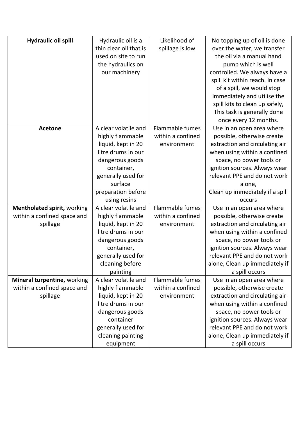| <b>Hydraulic oil spill</b>         | Hydraulic oil is a     | Likelihood of          | No topping up of oil is done    |
|------------------------------------|------------------------|------------------------|---------------------------------|
|                                    | thin clear oil that is | spillage is low        | over the water, we transfer     |
|                                    | used on site to run    |                        | the oil via a manual hand       |
|                                    | the hydraulics on      |                        | pump which is well              |
|                                    | our machinery          |                        | controlled. We always have a    |
|                                    |                        |                        | spill kit within reach. In case |
|                                    |                        |                        | of a spill, we would stop       |
|                                    |                        |                        | immediately and utilise the     |
|                                    |                        |                        | spill kits to clean up safely,  |
|                                    |                        |                        | This task is generally done     |
|                                    |                        |                        | once every 12 months.           |
| <b>Acetone</b>                     | A clear volatile and   | Flammable fumes        | Use in an open area where       |
|                                    | highly flammable       | within a confined      | possible, otherwise create      |
|                                    | liquid, kept in 20     | environment            | extraction and circulating air  |
|                                    | litre drums in our     |                        | when using within a confined    |
|                                    | dangerous goods        |                        | space, no power tools or        |
|                                    | container,             |                        | ignition sources. Always wear   |
|                                    | generally used for     |                        | relevant PPE and do not work    |
|                                    | surface                |                        | alone,                          |
|                                    | preparation before     |                        | Clean up immediately if a spill |
|                                    | using resins           |                        | occurs                          |
| <b>Mentholated spirit, working</b> | A clear volatile and   | Flammable fumes        | Use in an open area where       |
| within a confined space and        | highly flammable       | within a confined      | possible, otherwise create      |
| spillage                           | liquid, kept in 20     | environment            | extraction and circulating air  |
|                                    | litre drums in our     |                        | when using within a confined    |
|                                    | dangerous goods        |                        | space, no power tools or        |
|                                    | container,             |                        | ignition sources. Always wear   |
|                                    | generally used for     |                        | relevant PPE and do not work    |
|                                    | cleaning before        |                        | alone, Clean up immediately if  |
|                                    | painting               |                        | a spill occurs                  |
| Mineral turpentine, working        | A clear volatile and   | <b>Flammable fumes</b> | Use in an open area where       |
| within a confined space and        | highly flammable       | within a confined      | possible, otherwise create      |
| spillage                           | liquid, kept in 20     | environment            | extraction and circulating air  |
|                                    | litre drums in our     |                        | when using within a confined    |
|                                    | dangerous goods        |                        | space, no power tools or        |
|                                    | container              |                        | ignition sources. Always wear   |
|                                    | generally used for     |                        | relevant PPE and do not work    |
|                                    | cleaning painting      |                        | alone, Clean up immediately if  |
|                                    | equipment              |                        | a spill occurs                  |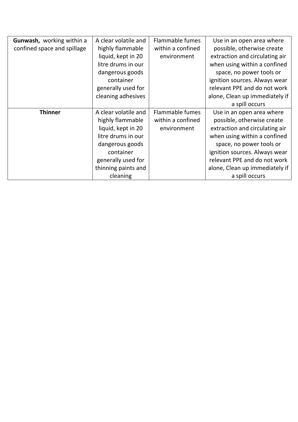| Gunwash, working within a   | A clear volatile and | <b>Flammable fumes</b> | Use in an open area where      |
|-----------------------------|----------------------|------------------------|--------------------------------|
|                             |                      |                        |                                |
| confined space and spillage | highly flammable     | within a confined      | possible, otherwise create     |
|                             | liquid, kept in 20   | environment            | extraction and circulating air |
|                             | litre drums in our   |                        | when using within a confined   |
|                             | dangerous goods      |                        | space, no power tools or       |
|                             | container            |                        | ignition sources. Always wear  |
|                             | generally used for   |                        | relevant PPE and do not work   |
|                             | cleaning adhesives   |                        | alone, Clean up immediately if |
|                             |                      |                        | a spill occurs                 |
| <b>Thinner</b>              | A clear volatile and | <b>Flammable fumes</b> | Use in an open area where      |
|                             | highly flammable     | within a confined      | possible, otherwise create     |
|                             | liquid, kept in 20   | environment            | extraction and circulating air |
|                             | litre drums in our   |                        | when using within a confined   |
|                             | dangerous goods      |                        | space, no power tools or       |
|                             | container            |                        | ignition sources. Always wear  |
|                             | generally used for   |                        | relevant PPE and do not work   |
|                             | thinning paints and  |                        | alone, Clean up immediately if |
|                             | cleaning             |                        | a spill occurs                 |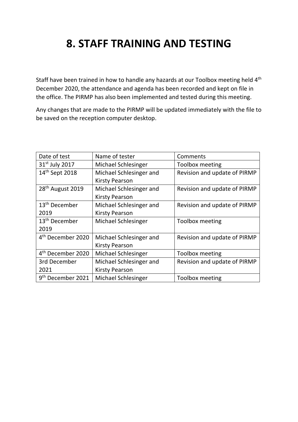#### **8. STAFF TRAINING AND TESTING**

Staff have been trained in how to handle any hazards at our Toolbox meeting held 4<sup>th</sup> December 2020, the attendance and agenda has been recorded and kept on file in the office. The PIRMP has also been implemented and tested during this meeting.

Any changes that are made to the PIRMP will be updated immediately with the file to be saved on the reception computer desktop.

| Date of test                  | Name of tester             | Comments                     |
|-------------------------------|----------------------------|------------------------------|
| $31st$ July 2017              | Michael Schlesinger        | Toolbox meeting              |
| 14 <sup>th</sup> Sept 2018    | Michael Schlesinger and    | Revision and update of PIRMP |
|                               | <b>Kirsty Pearson</b>      |                              |
| 28 <sup>th</sup> August 2019  | Michael Schlesinger and    | Revision and update of PIRMP |
|                               | <b>Kirsty Pearson</b>      |                              |
| 13 <sup>th</sup> December     | Michael Schlesinger and    | Revision and update of PIRMP |
| 2019                          | <b>Kirsty Pearson</b>      |                              |
| 13 <sup>th</sup> December     | <b>Michael Schlesinger</b> | Toolbox meeting              |
| 2019                          |                            |                              |
| 4 <sup>th</sup> December 2020 | Michael Schlesinger and    | Revision and update of PIRMP |
|                               | <b>Kirsty Pearson</b>      |                              |
| 4 <sup>th</sup> December 2020 | Michael Schlesinger        | Toolbox meeting              |
| 3rd December                  | Michael Schlesinger and    | Revision and update of PIRMP |
| 2021                          | <b>Kirsty Pearson</b>      |                              |
| 9 <sup>th</sup> December 2021 | <b>Michael Schlesinger</b> | Toolbox meeting              |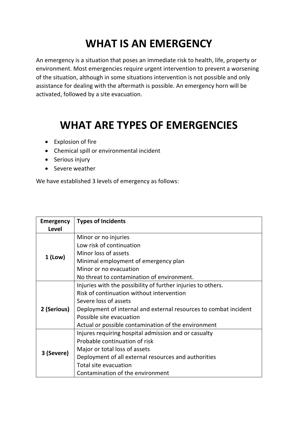### **WHAT IS AN EMERGENCY**

An emergency is a situation that poses an immediate risk to health, life, property or environment. Most emergencies require urgent intervention to prevent a worsening of the situation, although in some situations intervention is not possible and only assistance for dealing with the aftermath is possible. An emergency horn will be activated, followed by a site evacuation.

#### **WHAT ARE TYPES OF EMERGENCIES**

- Explosion of fire
- Chemical spill or environmental incident
- Serious injury
- Severe weather

We have established 3 levels of emergency as follows:

| <b>Emergency</b> | <b>Types of Incidents</b>                                        |  |
|------------------|------------------------------------------------------------------|--|
| <b>Level</b>     |                                                                  |  |
|                  | Minor or no injuries                                             |  |
|                  | Low risk of continuation                                         |  |
| $1$ (Low)        | Minor loss of assets                                             |  |
|                  | Minimal employment of emergency plan                             |  |
|                  | Minor or no evacuation                                           |  |
|                  | No threat to contamination of environment.                       |  |
|                  | Injuries with the possibility of further injuries to others.     |  |
|                  | Risk of continuation without intervention                        |  |
|                  | Severe loss of assets                                            |  |
| 2 (Serious)      | Deployment of internal and external resources to combat incident |  |
|                  | Possible site evacuation                                         |  |
|                  | Actual or possible contamination of the environment              |  |
|                  | Injures requiring hospital admission and or casualty             |  |
|                  | Probable continuation of risk                                    |  |
|                  | Major or total loss of assets                                    |  |
| 3 (Severe)       | Deployment of all external resources and authorities             |  |
|                  | Total site evacuation                                            |  |
|                  | Contamination of the environment                                 |  |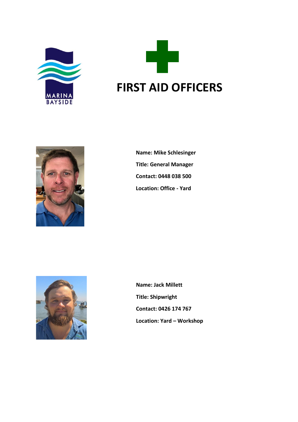





**Name: Mike Schlesinger Title: General Manager Contact: 0448 038 500 Location: Office - Yard**



**Name: Jack Millett Title: Shipwright Contact: 0426 174 767 Location: Yard – Workshop**